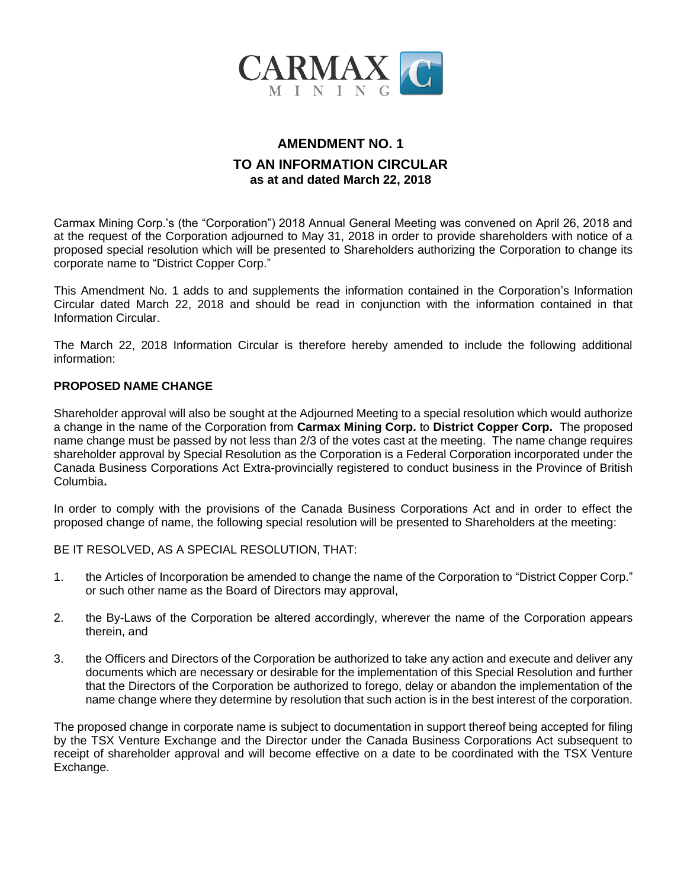

## **AMENDMENT NO. 1 TO AN INFORMATION CIRCULAR as at and dated March 22, 2018**

Carmax Mining Corp.'s (the "Corporation") 2018 Annual General Meeting was convened on April 26, 2018 and at the request of the Corporation adjourned to May 31, 2018 in order to provide shareholders with notice of a proposed special resolution which will be presented to Shareholders authorizing the Corporation to change its corporate name to "District Copper Corp."

This Amendment No. 1 adds to and supplements the information contained in the Corporation's Information Circular dated March 22, 2018 and should be read in conjunction with the information contained in that Information Circular.

The March 22, 2018 Information Circular is therefore hereby amended to include the following additional information:

## **PROPOSED NAME CHANGE**

Shareholder approval will also be sought at the Adjourned Meeting to a special resolution which would authorize a change in the name of the Corporation from **Carmax Mining Corp.** to **District Copper Corp.** The proposed name change must be passed by not less than 2/3 of the votes cast at the meeting. The name change requires shareholder approval by Special Resolution as the Corporation is a Federal Corporation incorporated under the Canada Business Corporations Act Extra-provincially registered to conduct business in the Province of British Columbia**.**

In order to comply with the provisions of the Canada Business Corporations Act and in order to effect the proposed change of name, the following special resolution will be presented to Shareholders at the meeting:

BE IT RESOLVED, AS A SPECIAL RESOLUTION, THAT:

- 1. the Articles of Incorporation be amended to change the name of the Corporation to "District Copper Corp." or such other name as the Board of Directors may approval,
- 2. the By-Laws of the Corporation be altered accordingly, wherever the name of the Corporation appears therein, and
- 3. the Officers and Directors of the Corporation be authorized to take any action and execute and deliver any documents which are necessary or desirable for the implementation of this Special Resolution and further that the Directors of the Corporation be authorized to forego, delay or abandon the implementation of the name change where they determine by resolution that such action is in the best interest of the corporation.

The proposed change in corporate name is subject to documentation in support thereof being accepted for filing by the TSX Venture Exchange and the Director under the Canada Business Corporations Act subsequent to receipt of shareholder approval and will become effective on a date to be coordinated with the TSX Venture Exchange.